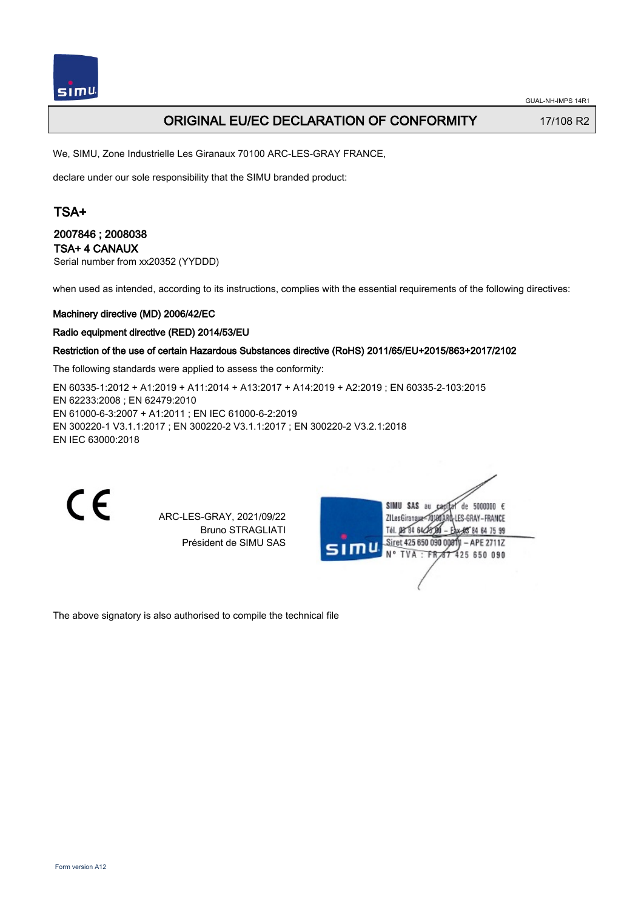

## ORIGINAL EU/EC DECLARATION OF CONFORMITY 17/108 R2

We, SIMU, Zone Industrielle Les Giranaux 70100 ARC-LES-GRAY FRANCE,

declare under our sole responsibility that the SIMU branded product:

# TSA+

### 2007846 ; 2008038 TSA+ 4 CANAUX

Serial number from xx20352 (YYDDD)

when used as intended, according to its instructions, complies with the essential requirements of the following directives:

#### Machinery directive (MD) 2006/42/EC

#### Radio equipment directive (RED) 2014/53/EU

#### Restriction of the use of certain Hazardous Substances directive (RoHS) 2011/65/EU+2015/863+2017/2102

The following standards were applied to assess the conformity:

EN 60335‑1:2012 + A1:2019 + A11:2014 + A13:2017 + A14:2019 + A2:2019 ; EN 60335‑2‑103:2015 EN 62233:2008 ; EN 62479:2010 EN 61000‑6‑3:2007 + A1:2011 ; EN IEC 61000‑6‑2:2019 EN 300220‑1 V3.1.1:2017 ; EN 300220‑2 V3.1.1:2017 ; EN 300220‑2 V3.2.1:2018 EN IEC 63000:2018

CE

ARC-LES-GRAY, 2021/09/22 Bruno STRAGLIATI Président de SIMU SAS

| SIMU SAS<br>5000000<br>au<br>de<br>Ca<br>LES-GRAY-FRANCE<br><b>ZI Les Giranaux</b><br>Tél. 08°84 64z<br><b>95 84 64 75 99</b> | - 6 |
|-------------------------------------------------------------------------------------------------------------------------------|-----|
| Siret 425 650 090 00811 - APE 2711Z<br>SIMU<br>N° TVA : FR 67 425 650 090                                                     |     |
|                                                                                                                               |     |

The above signatory is also authorised to compile the technical file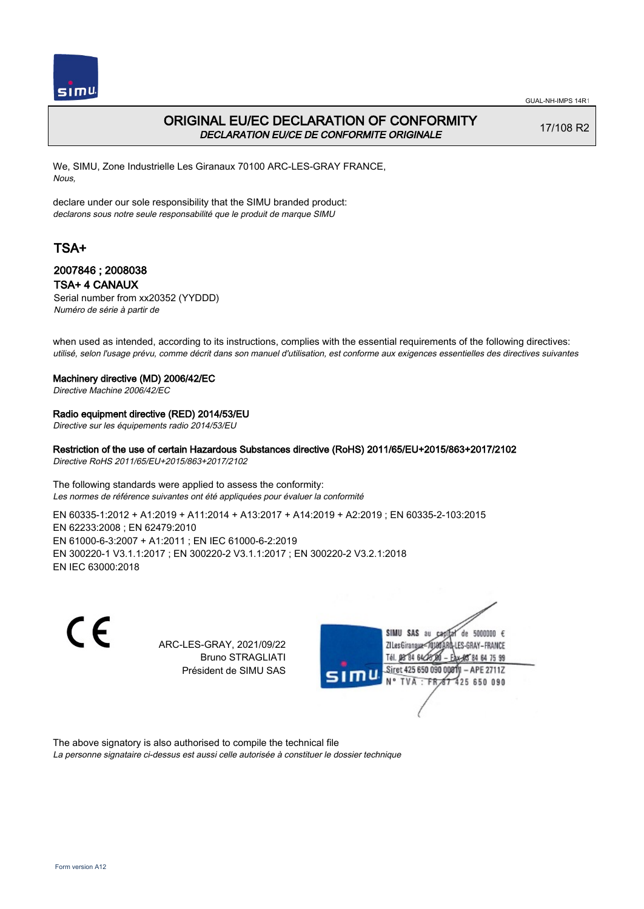

## ORIGINAL EU/EC DECLARATION OF CONFORMITY DECLARATION EU/CE DE CONFORMITE ORIGINALE

17/108 R2

We, SIMU, Zone Industrielle Les Giranaux 70100 ARC-LES-GRAY FRANCE, Nous,

declare under our sole responsibility that the SIMU branded product: declarons sous notre seule responsabilité que le produit de marque SIMU

# TSA+

### 2007846 ; 2008038 TSA+ 4 CANAUX

Serial number from xx20352 (YYDDD) Numéro de série à partir de

when used as intended, according to its instructions, complies with the essential requirements of the following directives: utilisé, selon l'usage prévu, comme décrit dans son manuel d'utilisation, est conforme aux exigences essentielles des directives suivantes

#### Machinery directive (MD) 2006/42/EC

Directive Machine 2006/42/EC

## Radio equipment directive (RED) 2014/53/EU

Directive sur les équipements radio 2014/53/EU

Restriction of the use of certain Hazardous Substances directive (RoHS) 2011/65/EU+2015/863+2017/2102 Directive RoHS 2011/65/EU+2015/863+2017/2102

The following standards were applied to assess the conformity: Les normes de référence suivantes ont été appliquées pour évaluer la conformité

EN 60335‑1:2012 + A1:2019 + A11:2014 + A13:2017 + A14:2019 + A2:2019 ; EN 60335‑2‑103:2015 EN 62233:2008 ; EN 62479:2010 EN 61000‑6‑3:2007 + A1:2011 ; EN IEC 61000‑6‑2:2019 EN 300220‑1 V3.1.1:2017 ; EN 300220‑2 V3.1.1:2017 ; EN 300220‑2 V3.2.1:2018 EN IEC 63000:2018

> ARC-LES-GRAY, 2021/09/22 Bruno STRAGLIATI Président de SIMU SAS



The above signatory is also authorised to compile the technical file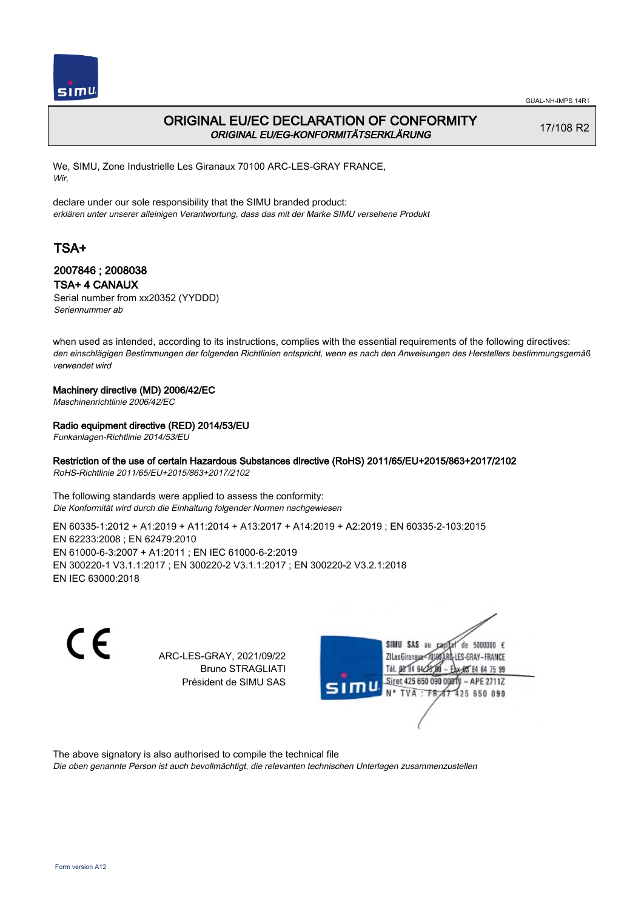

## ORIGINAL EU/EC DECLARATION OF CONFORMITY ORIGINAL EU/EG-KONFORMITÄTSERKLÄRUNG

17/108 R2

We, SIMU, Zone Industrielle Les Giranaux 70100 ARC-LES-GRAY FRANCE, Wir,

declare under our sole responsibility that the SIMU branded product: erklären unter unserer alleinigen Verantwortung, dass das mit der Marke SIMU versehene Produkt

# TSA+

## 2007846 ; 2008038 TSA+ 4 CANAUX

Serial number from xx20352 (YYDDD) Seriennummer ab

when used as intended, according to its instructions, complies with the essential requirements of the following directives: den einschlägigen Bestimmungen der folgenden Richtlinien entspricht, wenn es nach den Anweisungen des Herstellers bestimmungsgemäß verwendet wird

### Machinery directive (MD) 2006/42/EC

Maschinenrichtlinie 2006/42/EC

#### Radio equipment directive (RED) 2014/53/EU

Funkanlagen-Richtlinie 2014/53/EU

## Restriction of the use of certain Hazardous Substances directive (RoHS) 2011/65/EU+2015/863+2017/2102

RoHS-Richtlinie 2011/65/EU+2015/863+2017/2102

The following standards were applied to assess the conformity: Die Konformität wird durch die Einhaltung folgender Normen nachgewiesen

EN 60335‑1:2012 + A1:2019 + A11:2014 + A13:2017 + A14:2019 + A2:2019 ; EN 60335‑2‑103:2015 EN 62233:2008 ; EN 62479:2010 EN 61000‑6‑3:2007 + A1:2011 ; EN IEC 61000‑6‑2:2019 EN 300220‑1 V3.1.1:2017 ; EN 300220‑2 V3.1.1:2017 ; EN 300220‑2 V3.2.1:2018 EN IEC 63000:2018

 $\epsilon$ 

ARC-LES-GRAY, 2021/09/22 Bruno STRAGLIATI Président de SIMU SAS



The above signatory is also authorised to compile the technical file

Die oben genannte Person ist auch bevollmächtigt, die relevanten technischen Unterlagen zusammenzustellen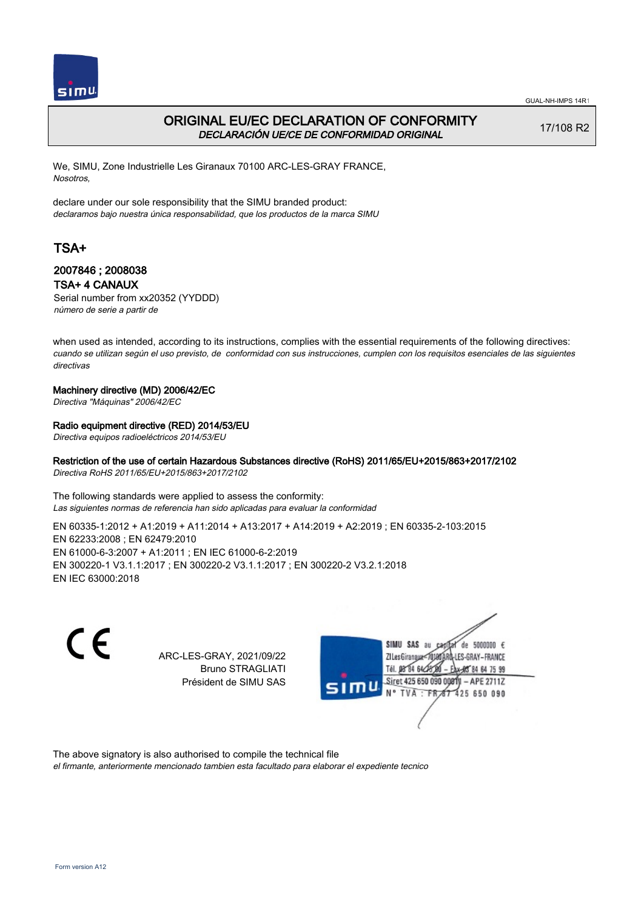

## ORIGINAL EU/EC DECLARATION OF CONFORMITY DECLARACIÓN UE/CE DE CONFORMIDAD ORIGINAL

17/108 R2

We, SIMU, Zone Industrielle Les Giranaux 70100 ARC-LES-GRAY FRANCE, Nosotros,

declare under our sole responsibility that the SIMU branded product: declaramos bajo nuestra única responsabilidad, que los productos de la marca SIMU

# TSA+

## 2007846 ; 2008038 TSA+ 4 CANAUX

Serial number from xx20352 (YYDDD) número de serie a partir de

when used as intended, according to its instructions, complies with the essential requirements of the following directives: cuando se utilizan según el uso previsto, de conformidad con sus instrucciones, cumplen con los requisitos esenciales de las siguientes directivas

#### Machinery directive (MD) 2006/42/EC

Directiva "Máquinas" 2006/42/EC

#### Radio equipment directive (RED) 2014/53/EU

Directiva equipos radioeléctricos 2014/53/EU

## Restriction of the use of certain Hazardous Substances directive (RoHS) 2011/65/EU+2015/863+2017/2102

Directiva RoHS 2011/65/EU+2015/863+2017/2102

The following standards were applied to assess the conformity: Las siguientes normas de referencia han sido aplicadas para evaluar la conformidad

EN 60335‑1:2012 + A1:2019 + A11:2014 + A13:2017 + A14:2019 + A2:2019 ; EN 60335‑2‑103:2015 EN 62233:2008 ; EN 62479:2010 EN 61000‑6‑3:2007 + A1:2011 ; EN IEC 61000‑6‑2:2019 EN 300220‑1 V3.1.1:2017 ; EN 300220‑2 V3.1.1:2017 ; EN 300220‑2 V3.2.1:2018 EN IEC 63000:2018

 $\epsilon$ 

ARC-LES-GRAY, 2021/09/22 Bruno STRAGLIATI Président de SIMU SAS



The above signatory is also authorised to compile the technical file

el firmante, anteriormente mencionado tambien esta facultado para elaborar el expediente tecnico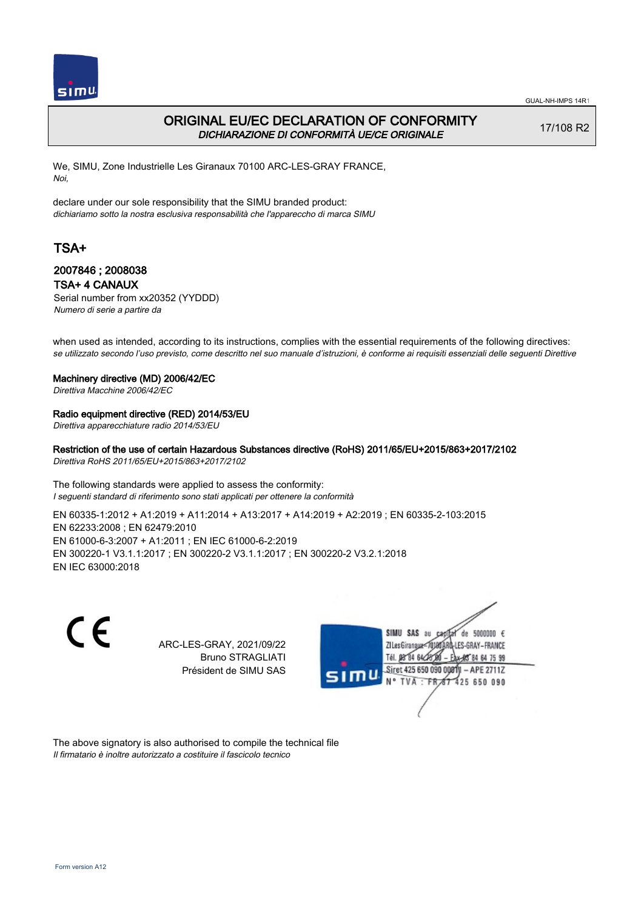

## ORIGINAL EU/EC DECLARATION OF CONFORMITY DICHIARAZIONE DI CONFORMITÀ UE/CE ORIGINALE

17/108 R2

We, SIMU, Zone Industrielle Les Giranaux 70100 ARC-LES-GRAY FRANCE, Noi,

declare under our sole responsibility that the SIMU branded product: dichiariamo sotto la nostra esclusiva responsabilità che l'appareccho di marca SIMU

# TSA+

### 2007846 ; 2008038 TSA+ 4 CANAUX

Serial number from xx20352 (YYDDD) Numero di serie a partire da

when used as intended, according to its instructions, complies with the essential requirements of the following directives: se utilizzato secondo l'uso previsto, come descritto nel suo manuale d'istruzioni, è conforme ai requisiti essenziali delle seguenti Direttive

#### Machinery directive (MD) 2006/42/EC

Direttiva Macchine 2006/42/EC

## Radio equipment directive (RED) 2014/53/EU

Direttiva apparecchiature radio 2014/53/EU

Restriction of the use of certain Hazardous Substances directive (RoHS) 2011/65/EU+2015/863+2017/2102 Direttiva RoHS 2011/65/EU+2015/863+2017/2102

The following standards were applied to assess the conformity: I seguenti standard di riferimento sono stati applicati per ottenere la conformità

EN 60335‑1:2012 + A1:2019 + A11:2014 + A13:2017 + A14:2019 + A2:2019 ; EN 60335‑2‑103:2015 EN 62233:2008 ; EN 62479:2010 EN 61000‑6‑3:2007 + A1:2011 ; EN IEC 61000‑6‑2:2019 EN 300220‑1 V3.1.1:2017 ; EN 300220‑2 V3.1.1:2017 ; EN 300220‑2 V3.2.1:2018 EN IEC 63000:2018

CE

ARC-LES-GRAY, 2021/09/22 Bruno STRAGLIATI Président de SIMU SAS



The above signatory is also authorised to compile the technical file Il firmatario è inoltre autorizzato a costituire il fascicolo tecnico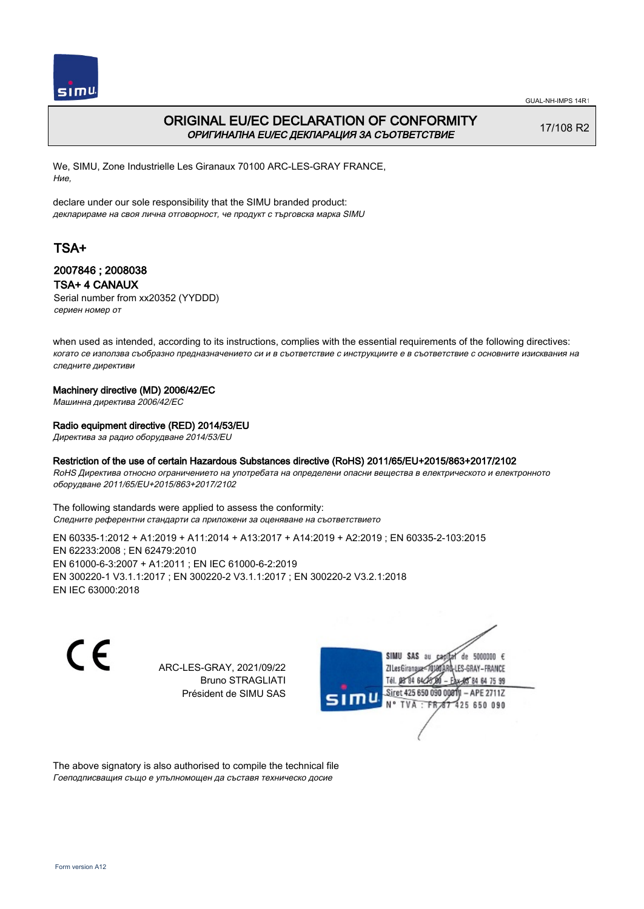

## ORIGINAL EU/EC DECLARATION OF CONFORMITY ОРИГИНАЛНА EU/EC ДЕКЛАРАЦИЯ ЗА СЪОТВЕТСТВИЕ

17/108 R2

We, SIMU, Zone Industrielle Les Giranaux 70100 ARC-LES-GRAY FRANCE, Ние,

declare under our sole responsibility that the SIMU branded product: декларираме на своя лична отговорност, че продукт с търговска марка SIMU

# TSA+

### 2007846 ; 2008038 TSA+ 4 CANAUX

Serial number from xx20352 (YYDDD) сериен номер от

when used as intended, according to its instructions, complies with the essential requirements of the following directives: когато се използва съобразно предназначението си и в съответствие с инструкциите е в съответствие с основните изисквания на следните директиви

#### Machinery directive (MD) 2006/42/EC

Машинна директива 2006/42/EC

#### Radio equipment directive (RED) 2014/53/EU

Директива за радио оборудване 2014/53/EU

#### Restriction of the use of certain Hazardous Substances directive (RoHS) 2011/65/EU+2015/863+2017/2102

RoHS Директива относно ограничението на употребата на определени опасни вещества в електрическото и електронното оборудване 2011/65/EU+2015/863+2017/2102

The following standards were applied to assess the conformity: Следните референтни стандарти са приложени за оценяване на съответствието

EN 60335‑1:2012 + A1:2019 + A11:2014 + A13:2017 + A14:2019 + A2:2019 ; EN 60335‑2‑103:2015 EN 62233:2008 ; EN 62479:2010 EN 61000‑6‑3:2007 + A1:2011 ; EN IEC 61000‑6‑2:2019 EN 300220‑1 V3.1.1:2017 ; EN 300220‑2 V3.1.1:2017 ; EN 300220‑2 V3.2.1:2018 EN IEC 63000:2018

C E

ARC-LES-GRAY, 2021/09/22 Bruno STRAGLIATI Président de SIMU SAS



The above signatory is also authorised to compile the technical file Гоеподписващия също е упълномощен да съставя техническо досие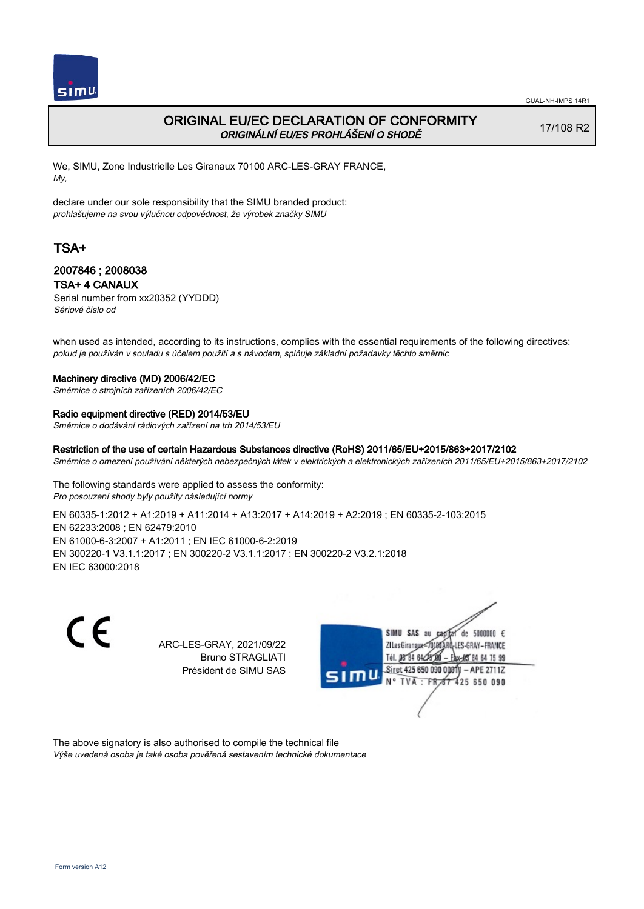

## ORIGINAL EU/EC DECLARATION OF CONFORMITY ORIGINÁLNÍ EU/ES PROHLÁŠENÍ O SHODĚ

17/108 R2

We, SIMU, Zone Industrielle Les Giranaux 70100 ARC-LES-GRAY FRANCE, My,

declare under our sole responsibility that the SIMU branded product: prohlašujeme na svou výlučnou odpovědnost, že výrobek značky SIMU

# TSA+

### 2007846 ; 2008038 TSA+ 4 CANAUX

Serial number from xx20352 (YYDDD) Sériové číslo od

when used as intended, according to its instructions, complies with the essential requirements of the following directives: pokud je používán v souladu s účelem použití a s návodem, splňuje základní požadavky těchto směrnic

#### Machinery directive (MD) 2006/42/EC

Směrnice o strojních zařízeních 2006/42/EC

#### Radio equipment directive (RED) 2014/53/EU

Směrnice o dodávání rádiových zařízení na trh 2014/53/EU

#### Restriction of the use of certain Hazardous Substances directive (RoHS) 2011/65/EU+2015/863+2017/2102

Směrnice o omezení používání některých nebezpečných látek v elektrických a elektronických zařízeních 2011/65/EU+2015/863+2017/2102

The following standards were applied to assess the conformity: Pro posouzení shody byly použity následující normy

EN 60335‑1:2012 + A1:2019 + A11:2014 + A13:2017 + A14:2019 + A2:2019 ; EN 60335‑2‑103:2015 EN 62233:2008 ; EN 62479:2010 EN 61000‑6‑3:2007 + A1:2011 ; EN IEC 61000‑6‑2:2019 EN 300220‑1 V3.1.1:2017 ; EN 300220‑2 V3.1.1:2017 ; EN 300220‑2 V3.2.1:2018 EN IEC 63000:2018

C E SIMU SAS au de 5000000  $\epsilon$ ARC-LES-GRAY, 2021/09/22 **ZILes Giranaux** S-GRAY-FRANCE Bruno STRAGLIATI 64 75 99 Président de SIMU SAS Siret 425 650 090 008TV  $-$  APE 2711Z **TVA** 425 650 090

The above signatory is also authorised to compile the technical file Výše uvedená osoba je také osoba pověřená sestavením technické dokumentace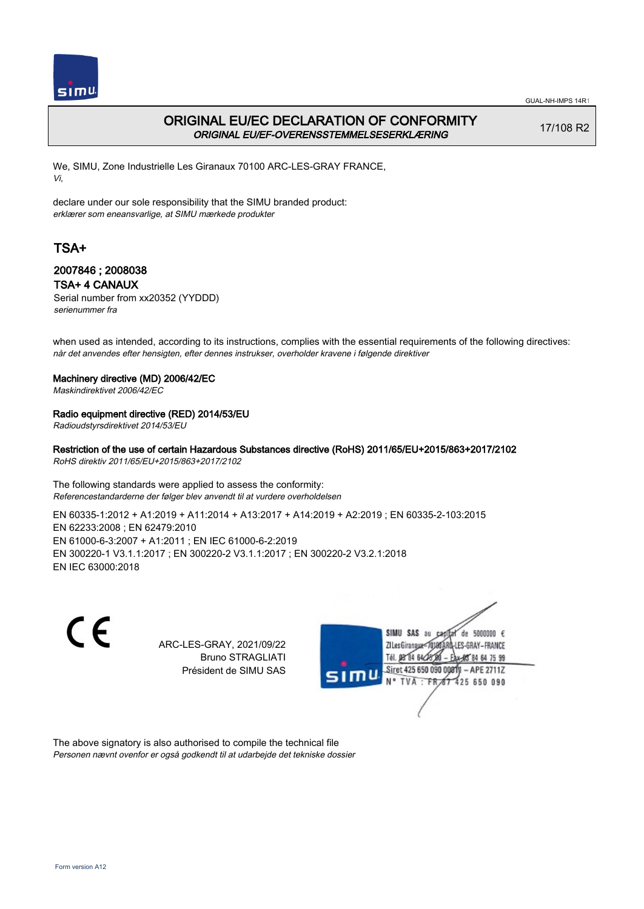

## ORIGINAL EU/EC DECLARATION OF CONFORMITY ORIGINAL EU/EF-OVERENSSTEMMELSESERKLÆRING

17/108 R2

We, SIMU, Zone Industrielle Les Giranaux 70100 ARC-LES-GRAY FRANCE, Vi,

declare under our sole responsibility that the SIMU branded product: erklærer som eneansvarlige, at SIMU mærkede produkter

# TSA+

### 2007846 ; 2008038 TSA+ 4 CANAUX

Serial number from xx20352 (YYDDD) serienummer fra

when used as intended, according to its instructions, complies with the essential requirements of the following directives: når det anvendes efter hensigten, efter dennes instrukser, overholder kravene i følgende direktiver

#### Machinery directive (MD) 2006/42/EC

Maskindirektivet 2006/42/EC

### Radio equipment directive (RED) 2014/53/EU

Radioudstyrsdirektivet 2014/53/EU

Restriction of the use of certain Hazardous Substances directive (RoHS) 2011/65/EU+2015/863+2017/2102 RoHS direktiv 2011/65/EU+2015/863+2017/2102

The following standards were applied to assess the conformity: Referencestandarderne der følger blev anvendt til at vurdere overholdelsen

EN 60335‑1:2012 + A1:2019 + A11:2014 + A13:2017 + A14:2019 + A2:2019 ; EN 60335‑2‑103:2015 EN 62233:2008 ; EN 62479:2010 EN 61000‑6‑3:2007 + A1:2011 ; EN IEC 61000‑6‑2:2019 EN 300220‑1 V3.1.1:2017 ; EN 300220‑2 V3.1.1:2017 ; EN 300220‑2 V3.2.1:2018 EN IEC 63000:2018

> ARC-LES-GRAY, 2021/09/22 Bruno STRAGLIATI Président de SIMU SAS



The above signatory is also authorised to compile the technical file Personen nævnt ovenfor er også godkendt til at udarbejde det tekniske dossier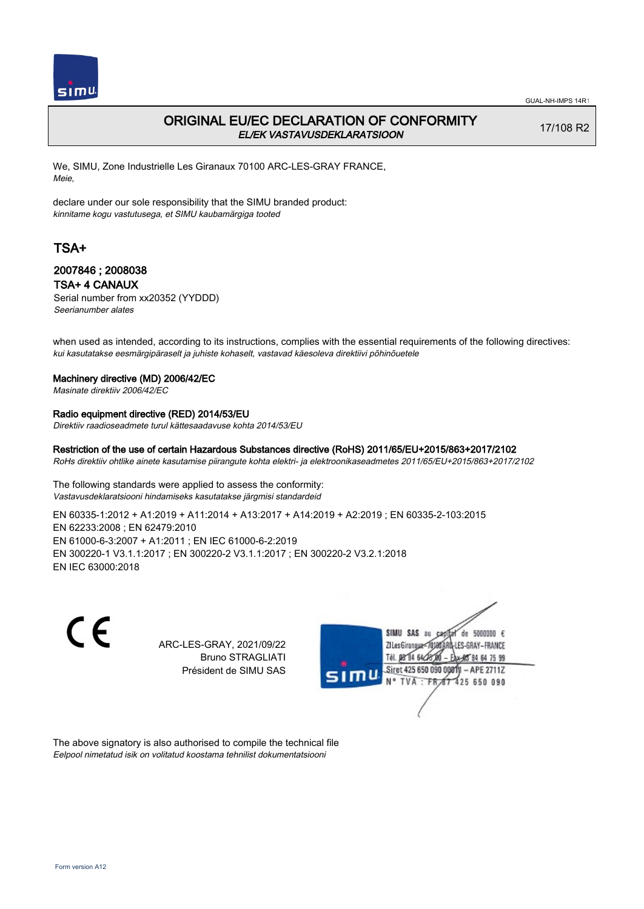

## ORIGINAL EU/EC DECLARATION OF CONFORMITY EL/EK VASTAVUSDEKLARATSIOON

17/108 R2

We, SIMU, Zone Industrielle Les Giranaux 70100 ARC-LES-GRAY FRANCE, Meie,

declare under our sole responsibility that the SIMU branded product: kinnitame kogu vastutusega, et SIMU kaubamärgiga tooted

# TSA+

### 2007846 ; 2008038 TSA+ 4 CANAUX

Serial number from xx20352 (YYDDD) Seerianumber alates

when used as intended, according to its instructions, complies with the essential requirements of the following directives: kui kasutatakse eesmärgipäraselt ja juhiste kohaselt, vastavad käesoleva direktiivi põhinõuetele

#### Machinery directive (MD) 2006/42/EC

Masinate direktiiv 2006/42/EC

### Radio equipment directive (RED) 2014/53/EU

Direktiiv raadioseadmete turul kättesaadavuse kohta 2014/53/EU

## Restriction of the use of certain Hazardous Substances directive (RoHS) 2011/65/EU+2015/863+2017/2102

RoHs direktiiv ohtlike ainete kasutamise piirangute kohta elektri- ja elektroonikaseadmetes 2011/65/EU+2015/863+2017/2102

The following standards were applied to assess the conformity: Vastavusdeklaratsiooni hindamiseks kasutatakse järgmisi standardeid

EN 60335‑1:2012 + A1:2019 + A11:2014 + A13:2017 + A14:2019 + A2:2019 ; EN 60335‑2‑103:2015 EN 62233:2008 ; EN 62479:2010 EN 61000‑6‑3:2007 + A1:2011 ; EN IEC 61000‑6‑2:2019 EN 300220‑1 V3.1.1:2017 ; EN 300220‑2 V3.1.1:2017 ; EN 300220‑2 V3.2.1:2018 EN IEC 63000:2018

> ARC-LES-GRAY, 2021/09/22 Bruno STRAGLIATI Président de SIMU SAS



The above signatory is also authorised to compile the technical file Eelpool nimetatud isik on volitatud koostama tehnilist dokumentatsiooni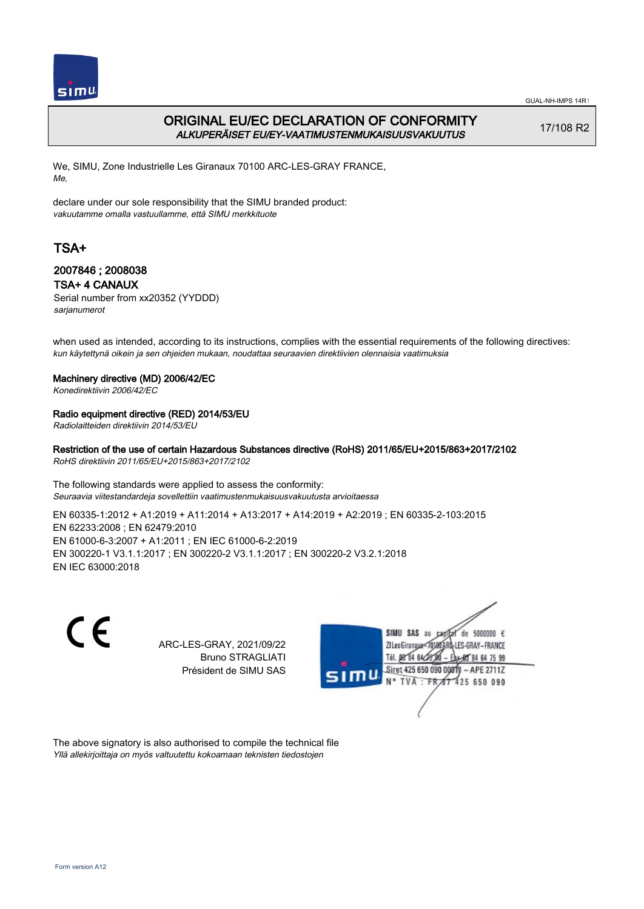

GUAL-NH-IMPS 14R1

# ORIGINAL EU/EC DECLARATION OF CONFORMITY ALKUPERÄISET EU/EY-VAATIMUSTENMUKAISUUSVAKUUTUS

17/108 R2

We, SIMU, Zone Industrielle Les Giranaux 70100 ARC-LES-GRAY FRANCE, Me,

declare under our sole responsibility that the SIMU branded product: vakuutamme omalla vastuullamme, että SIMU merkkituote

# TSA+

## 2007846 ; 2008038 TSA+ 4 CANAUX

Serial number from xx20352 (YYDDD) sarjanumerot

when used as intended, according to its instructions, complies with the essential requirements of the following directives: kun käytettynä oikein ja sen ohjeiden mukaan, noudattaa seuraavien direktiivien olennaisia vaatimuksia

#### Machinery directive (MD) 2006/42/EC

Konedirektiivin 2006/42/EC

#### Radio equipment directive (RED) 2014/53/EU

Radiolaitteiden direktiivin 2014/53/EU

Restriction of the use of certain Hazardous Substances directive (RoHS) 2011/65/EU+2015/863+2017/2102 RoHS direktiivin 2011/65/EU+2015/863+2017/2102

The following standards were applied to assess the conformity: Seuraavia viitestandardeja sovellettiin vaatimustenmukaisuusvakuutusta arvioitaessa

EN 60335‑1:2012 + A1:2019 + A11:2014 + A13:2017 + A14:2019 + A2:2019 ; EN 60335‑2‑103:2015 EN 62233:2008 ; EN 62479:2010 EN 61000‑6‑3:2007 + A1:2011 ; EN IEC 61000‑6‑2:2019 EN 300220‑1 V3.1.1:2017 ; EN 300220‑2 V3.1.1:2017 ; EN 300220‑2 V3.2.1:2018 EN IEC 63000:2018

CE

ARC-LES-GRAY, 2021/09/22 Bruno STRAGLIATI Président de SIMU SAS



The above signatory is also authorised to compile the technical file Yllä allekirjoittaja on myös valtuutettu kokoamaan teknisten tiedostojen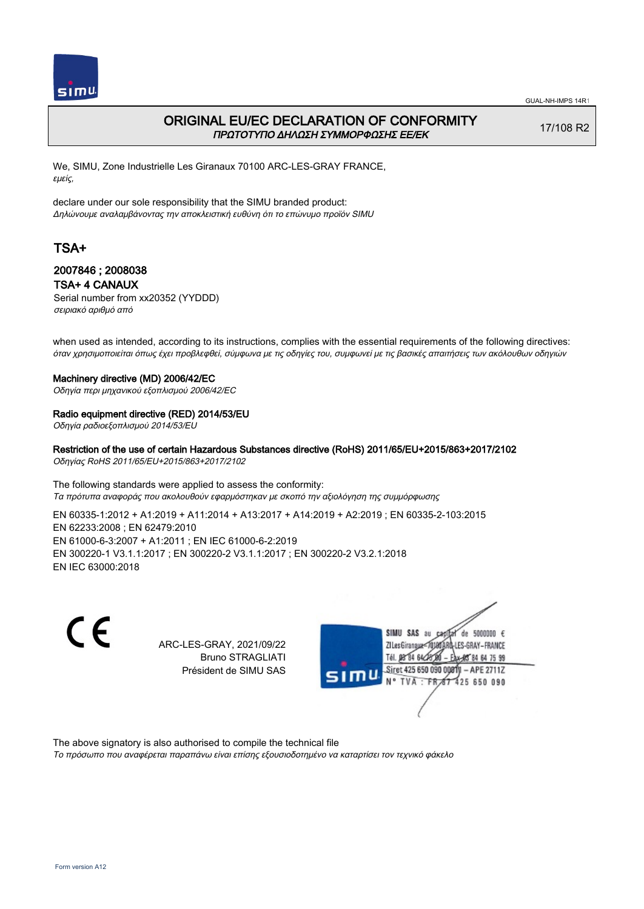

## ORIGINAL EU/EC DECLARATION OF CONFORMITY ΠΡΩΤΟΤΥΠΟ ΔΗΛΩΣΗ ΣΥΜΜΟΡΦΩΣΗΣ ΕΕ/EK

17/108 R2

We, SIMU, Zone Industrielle Les Giranaux 70100 ARC-LES-GRAY FRANCE, εμείς,

declare under our sole responsibility that the SIMU branded product: Δηλώνουμε αναλαμβάνοντας την αποκλειστική ευθύνη ότι το επώνυμο προϊόν SIMU

# TSA+

### 2007846 ; 2008038 TSA+ 4 CANAUX

Serial number from xx20352 (YYDDD) σειριακό αριθμό από

when used as intended, according to its instructions, complies with the essential requirements of the following directives: όταν χρησιμοποιείται όπως έχει προβλεφθεί, σύμφωνα με τις οδηγίες του, συμφωνεί με τις βασικές απαιτήσεις των ακόλουθων οδηγιών

#### Machinery directive (MD) 2006/42/EC

Οδηγία περι μηχανικού εξοπλισμού 2006/42/EC

# Radio equipment directive (RED) 2014/53/EU

Οδηγία ραδιοεξοπλισμού 2014/53/EU

## Restriction of the use of certain Hazardous Substances directive (RoHS) 2011/65/EU+2015/863+2017/2102

Οδηγίας RoHS 2011/65/EU+2015/863+2017/2102

The following standards were applied to assess the conformity: Τα πρότυπα αναφοράς που ακολουθούν εφαρμόστηκαν με σκοπό την αξιολόγηση της συμμόρφωσης

EN 60335‑1:2012 + A1:2019 + A11:2014 + A13:2017 + A14:2019 + A2:2019 ; EN 60335‑2‑103:2015 EN 62233:2008 ; EN 62479:2010 EN 61000‑6‑3:2007 + A1:2011 ; EN IEC 61000‑6‑2:2019 EN 300220‑1 V3.1.1:2017 ; EN 300220‑2 V3.1.1:2017 ; EN 300220‑2 V3.2.1:2018 EN IEC 63000:2018

> ARC-LES-GRAY, 2021/09/22 Bruno STRAGLIATI Président de SIMU SAS



The above signatory is also authorised to compile the technical file

Το πρόσωπο που αναφέρεται παραπάνω είναι επίσης εξουσιοδοτημένο να καταρτίσει τον τεχνικό φάκελο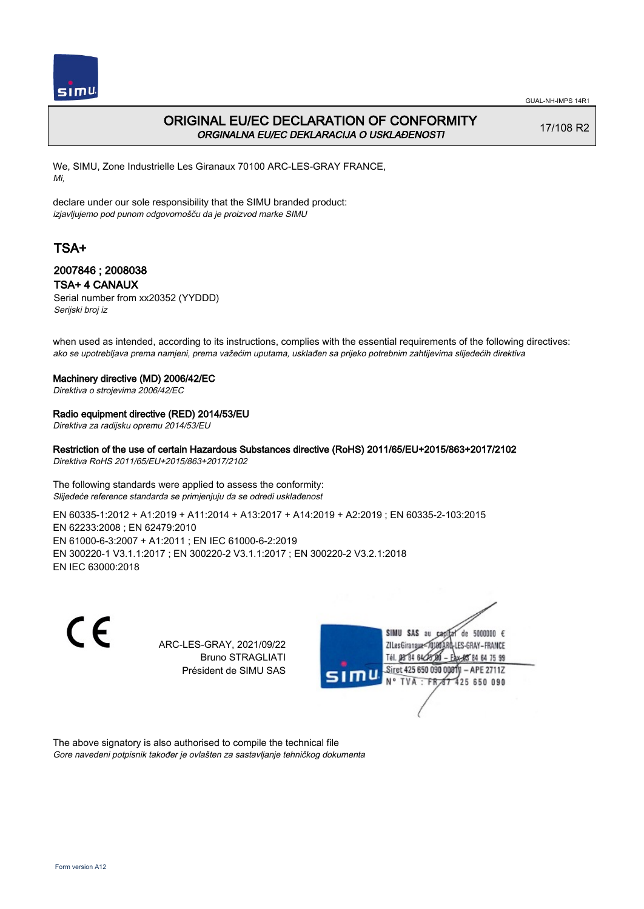

## ORIGINAL EU/EC DECLARATION OF CONFORMITY ORGINALNA EU/EC DEKLARACIJA O USKLAĐENOSTI

17/108 R2

We, SIMU, Zone Industrielle Les Giranaux 70100 ARC-LES-GRAY FRANCE, Mi,

declare under our sole responsibility that the SIMU branded product: izjavljujemo pod punom odgovornošču da je proizvod marke SIMU

# TSA+

### 2007846 ; 2008038 TSA+ 4 CANAUX

Serial number from xx20352 (YYDDD) Serijski broj iz

when used as intended, according to its instructions, complies with the essential requirements of the following directives: ako se upotrebljava prema namjeni, prema važećim uputama, usklađen sa prijeko potrebnim zahtijevima slijedećih direktiva

#### Machinery directive (MD) 2006/42/EC

Direktiva o strojevima 2006/42/EC

### Radio equipment directive (RED) 2014/53/EU

Direktiva za radijsku opremu 2014/53/EU

#### Restriction of the use of certain Hazardous Substances directive (RoHS) 2011/65/EU+2015/863+2017/2102 Direktiva RoHS 2011/65/EU+2015/863+2017/2102

The following standards were applied to assess the conformity: Slijedeće reference standarda se primjenjuju da se odredi usklađenost

EN 60335‑1:2012 + A1:2019 + A11:2014 + A13:2017 + A14:2019 + A2:2019 ; EN 60335‑2‑103:2015 EN 62233:2008 ; EN 62479:2010 EN 61000‑6‑3:2007 + A1:2011 ; EN IEC 61000‑6‑2:2019 EN 300220‑1 V3.1.1:2017 ; EN 300220‑2 V3.1.1:2017 ; EN 300220‑2 V3.2.1:2018 EN IEC 63000:2018

> ARC-LES-GRAY, 2021/09/22 Bruno STRAGLIATI Président de SIMU SAS



The above signatory is also authorised to compile the technical file Gore navedeni potpisnik također je ovlašten za sastavljanje tehničkog dokumenta

CE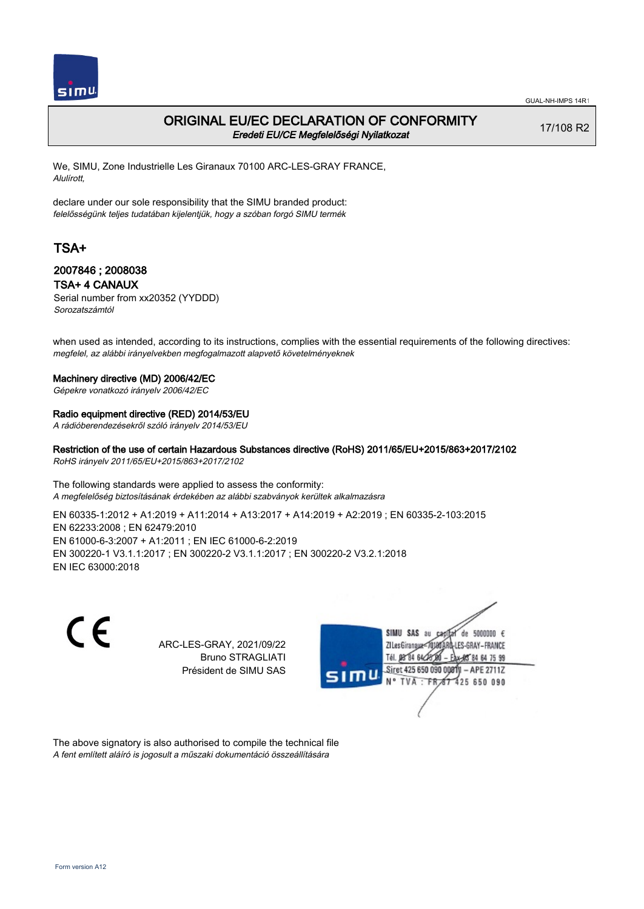

## ORIGINAL EU/EC DECLARATION OF CONFORMITY Eredeti EU/CE Megfelelőségi Nyilatkozat

17/108 R2

We, SIMU, Zone Industrielle Les Giranaux 70100 ARC-LES-GRAY FRANCE, Alulírott,

declare under our sole responsibility that the SIMU branded product: felelősségünk teljes tudatában kijelentjük, hogy a szóban forgó SIMU termék

# TSA+

### 2007846 ; 2008038 TSA+ 4 CANAUX

Serial number from xx20352 (YYDDD) Sorozatszámtól

when used as intended, according to its instructions, complies with the essential requirements of the following directives: megfelel, az alábbi irányelvekben megfogalmazott alapvető követelményeknek

#### Machinery directive (MD) 2006/42/EC

Gépekre vonatkozó irányelv 2006/42/EC

#### Radio equipment directive (RED) 2014/53/EU

A rádióberendezésekről szóló irányelv 2014/53/EU

Restriction of the use of certain Hazardous Substances directive (RoHS) 2011/65/EU+2015/863+2017/2102 RoHS irányelv 2011/65/EU+2015/863+2017/2102

The following standards were applied to assess the conformity: A megfelelőség biztosításának érdekében az alábbi szabványok kerültek alkalmazásra

EN 60335‑1:2012 + A1:2019 + A11:2014 + A13:2017 + A14:2019 + A2:2019 ; EN 60335‑2‑103:2015 EN 62233:2008 ; EN 62479:2010 EN 61000‑6‑3:2007 + A1:2011 ; EN IEC 61000‑6‑2:2019 EN 300220‑1 V3.1.1:2017 ; EN 300220‑2 V3.1.1:2017 ; EN 300220‑2 V3.2.1:2018 EN IEC 63000:2018

C E

ARC-LES-GRAY, 2021/09/22 Bruno STRAGLIATI Président de SIMU SAS



The above signatory is also authorised to compile the technical file A fent említett aláíró is jogosult a műszaki dokumentáció összeállítására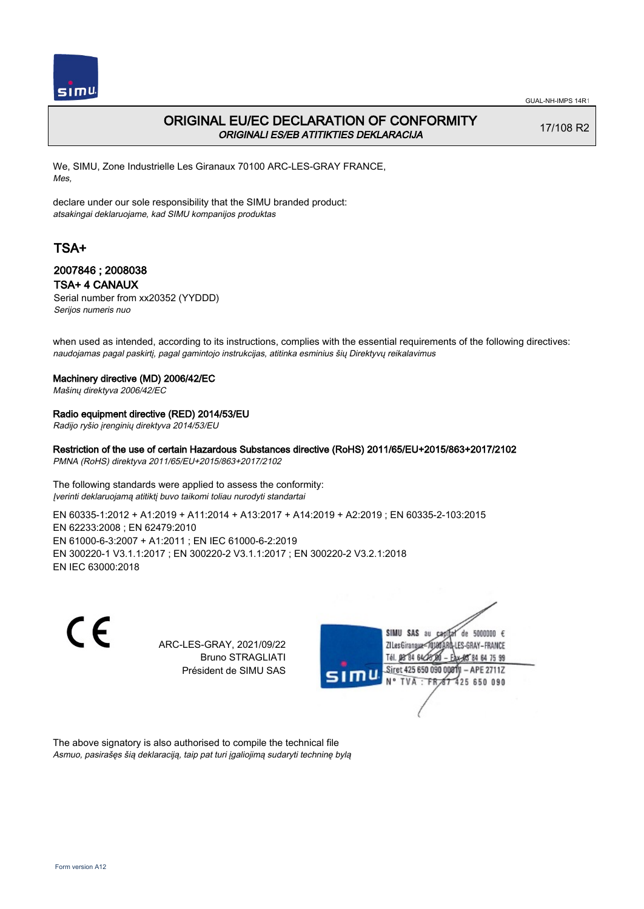

## ORIGINAL EU/EC DECLARATION OF CONFORMITY ORIGINALI ES/EB ATITIKTIES DEKLARACIJA

17/108 R2

We, SIMU, Zone Industrielle Les Giranaux 70100 ARC-LES-GRAY FRANCE, Mes,

declare under our sole responsibility that the SIMU branded product: atsakingai deklaruojame, kad SIMU kompanijos produktas

# TSA+

### 2007846 ; 2008038 TSA+ 4 CANAUX

Serial number from xx20352 (YYDDD) Serijos numeris nuo

when used as intended, according to its instructions, complies with the essential requirements of the following directives: naudojamas pagal paskirtį, pagal gamintojo instrukcijas, atitinka esminius šių Direktyvų reikalavimus

#### Machinery directive (MD) 2006/42/EC

Mašinų direktyva 2006/42/EC

#### Radio equipment directive (RED) 2014/53/EU

Radijo ryšio įrenginių direktyva 2014/53/EU

Restriction of the use of certain Hazardous Substances directive (RoHS) 2011/65/EU+2015/863+2017/2102 PMNA (RoHS) direktyva 2011/65/EU+2015/863+2017/2102

The following standards were applied to assess the conformity: Įverinti deklaruojamą atitiktį buvo taikomi toliau nurodyti standartai

EN 60335‑1:2012 + A1:2019 + A11:2014 + A13:2017 + A14:2019 + A2:2019 ; EN 60335‑2‑103:2015 EN 62233:2008 ; EN 62479:2010 EN 61000‑6‑3:2007 + A1:2011 ; EN IEC 61000‑6‑2:2019 EN 300220‑1 V3.1.1:2017 ; EN 300220‑2 V3.1.1:2017 ; EN 300220‑2 V3.2.1:2018 EN IEC 63000:2018

> ARC-LES-GRAY, 2021/09/22 Bruno STRAGLIATI Président de SIMU SAS



The above signatory is also authorised to compile the technical file Asmuo, pasirašęs šią deklaraciją, taip pat turi įgaliojimą sudaryti techninę bylą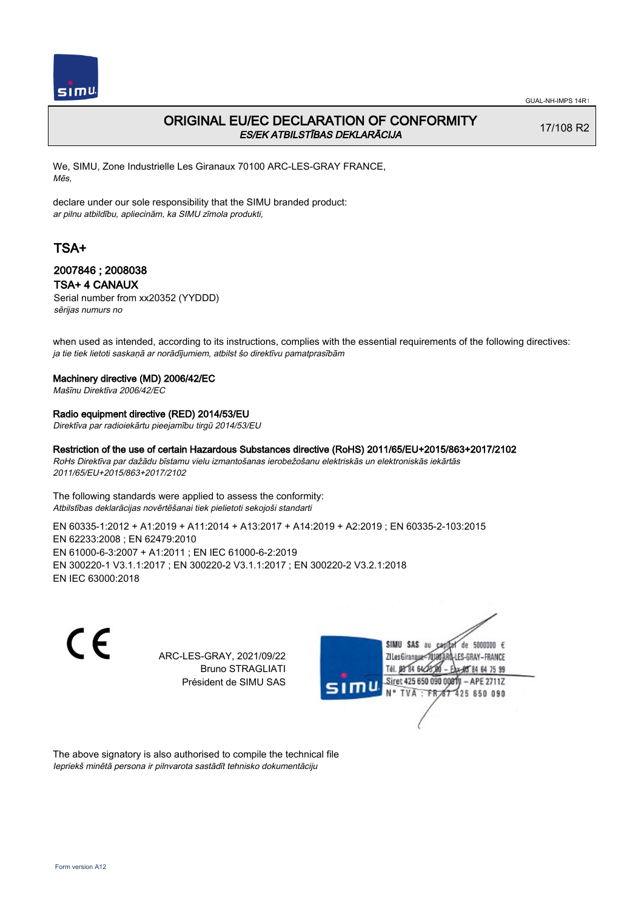

## ORIGINAL EU/EC DECLARATION OF CONFORMITY ES/EK ATBILSTĪBAS DEKLARĀCIJA

17/108 R2

We, SIMU, Zone Industrielle Les Giranaux 70100 ARC-LES-GRAY FRANCE, Mēs,

declare under our sole responsibility that the SIMU branded product: ar pilnu atbildību, apliecinām, ka SIMU zīmola produkti,

# TSA+

### 2007846 ; 2008038 TSA+ 4 CANAUX

Serial number from xx20352 (YYDDD) sērijas numurs no

when used as intended, according to its instructions, complies with the essential requirements of the following directives: ja tie tiek lietoti saskaņā ar norādījumiem, atbilst šo direktīvu pamatprasībām

#### Machinery directive (MD) 2006/42/EC

Mašīnu Direktīva 2006/42/EC

#### Radio equipment directive (RED) 2014/53/EU

Direktīva par radioiekārtu pieejamību tirgū 2014/53/EU

Restriction of the use of certain Hazardous Substances directive (RoHS) 2011/65/EU+2015/863+2017/2102 RoHs Direktīva par dažādu bīstamu vielu izmantošanas ierobežošanu elektriskās un elektroniskās iekārtās 2011/65/EU+2015/863+2017/2102

The following standards were applied to assess the conformity: Atbilstības deklarācijas novērtēšanai tiek pielietoti sekojoši standarti

EN 60335‑1:2012 + A1:2019 + A11:2014 + A13:2017 + A14:2019 + A2:2019 ; EN 60335‑2‑103:2015 EN 62233:2008 ; EN 62479:2010 EN 61000‑6‑3:2007 + A1:2011 ; EN IEC 61000‑6‑2:2019 EN 300220‑1 V3.1.1:2017 ; EN 300220‑2 V3.1.1:2017 ; EN 300220‑2 V3.2.1:2018 EN IEC 63000:2018

 $\epsilon$ 

ARC-LES-GRAY, 2021/09/22 Bruno STRAGLIATI Président de SIMU SAS



The above signatory is also authorised to compile the technical file Iepriekš minētā persona ir pilnvarota sastādīt tehnisko dokumentāciju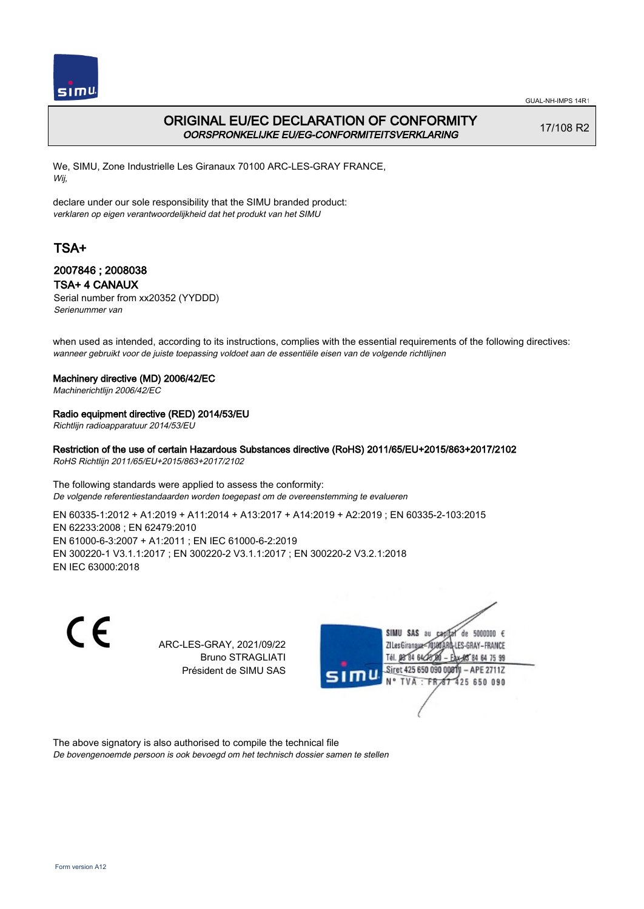

GUAL-NH-IMPS 14R1

# ORIGINAL EU/EC DECLARATION OF CONFORMITY OORSPRONKELIJKE EU/EG-CONFORMITEITSVERKLARING

17/108 R2

We, SIMU, Zone Industrielle Les Giranaux 70100 ARC-LES-GRAY FRANCE, Wij,

declare under our sole responsibility that the SIMU branded product: verklaren op eigen verantwoordelijkheid dat het produkt van het SIMU

# TSA+

### 2007846 ; 2008038 TSA+ 4 CANAUX

Serial number from xx20352 (YYDDD) Serienummer van

when used as intended, according to its instructions, complies with the essential requirements of the following directives: wanneer gebruikt voor de juiste toepassing voldoet aan de essentiële eisen van de volgende richtlijnen

#### Machinery directive (MD) 2006/42/EC

Machinerichtlijn 2006/42/EC

#### Radio equipment directive (RED) 2014/53/EU

Richtlijn radioapparatuur 2014/53/EU

# Restriction of the use of certain Hazardous Substances directive (RoHS) 2011/65/EU+2015/863+2017/2102

RoHS Richtlijn 2011/65/EU+2015/863+2017/2102

The following standards were applied to assess the conformity: De volgende referentiestandaarden worden toegepast om de overeenstemming te evalueren

EN 60335‑1:2012 + A1:2019 + A11:2014 + A13:2017 + A14:2019 + A2:2019 ; EN 60335‑2‑103:2015 EN 62233:2008 ; EN 62479:2010 EN 61000‑6‑3:2007 + A1:2011 ; EN IEC 61000‑6‑2:2019 EN 300220‑1 V3.1.1:2017 ; EN 300220‑2 V3.1.1:2017 ; EN 300220‑2 V3.2.1:2018 EN IEC 63000:2018

C E

ARC-LES-GRAY, 2021/09/22 Bruno STRAGLIATI Président de SIMU SAS



The above signatory is also authorised to compile the technical file De bovengenoemde persoon is ook bevoegd om het technisch dossier samen te stellen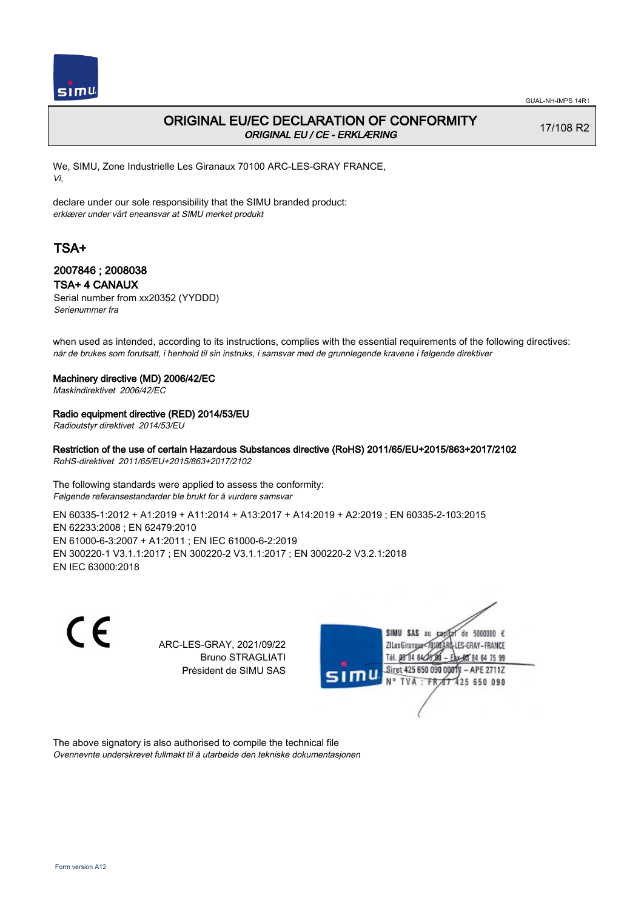

## ORIGINAL EU/EC DECLARATION OF CONFORMITY ORIGINAL EU / CE - ERKLÆRING

17/108 R2

We, SIMU, Zone Industrielle Les Giranaux 70100 ARC-LES-GRAY FRANCE, Vi,

declare under our sole responsibility that the SIMU branded product: erklærer under vårt eneansvar at SIMU merket produkt

# TSA+

### 2007846 ; 2008038 TSA+ 4 CANAUX

Serial number from xx20352 (YYDDD) Serienummer fra

when used as intended, according to its instructions, complies with the essential requirements of the following directives: når de brukes som forutsatt, i henhold til sin instruks, i samsvar med de grunnlegende kravene i følgende direktiver

#### Machinery directive (MD) 2006/42/EC

Maskindirektivet 2006/42/EC

#### Radio equipment directive (RED) 2014/53/EU

Radioutstyr direktivet 2014/53/EU

#### Restriction of the use of certain Hazardous Substances directive (RoHS) 2011/65/EU+2015/863+2017/2102 RoHS-direktivet 2011/65/EU+2015/863+2017/2102

The following standards were applied to assess the conformity: Følgende referansestandarder ble brukt for å vurdere samsvar

EN 60335‑1:2012 + A1:2019 + A11:2014 + A13:2017 + A14:2019 + A2:2019 ; EN 60335‑2‑103:2015 EN 62233:2008 ; EN 62479:2010 EN 61000‑6‑3:2007 + A1:2011 ; EN IEC 61000‑6‑2:2019 EN 300220‑1 V3.1.1:2017 ; EN 300220‑2 V3.1.1:2017 ; EN 300220‑2 V3.2.1:2018 EN IEC 63000:2018

> ARC-LES-GRAY, 2021/09/22 Bruno STRAGLIATI Président de SIMU SAS



The above signatory is also authorised to compile the technical file Ovennevnte underskrevet fullmakt til å utarbeide den tekniske dokumentasjonen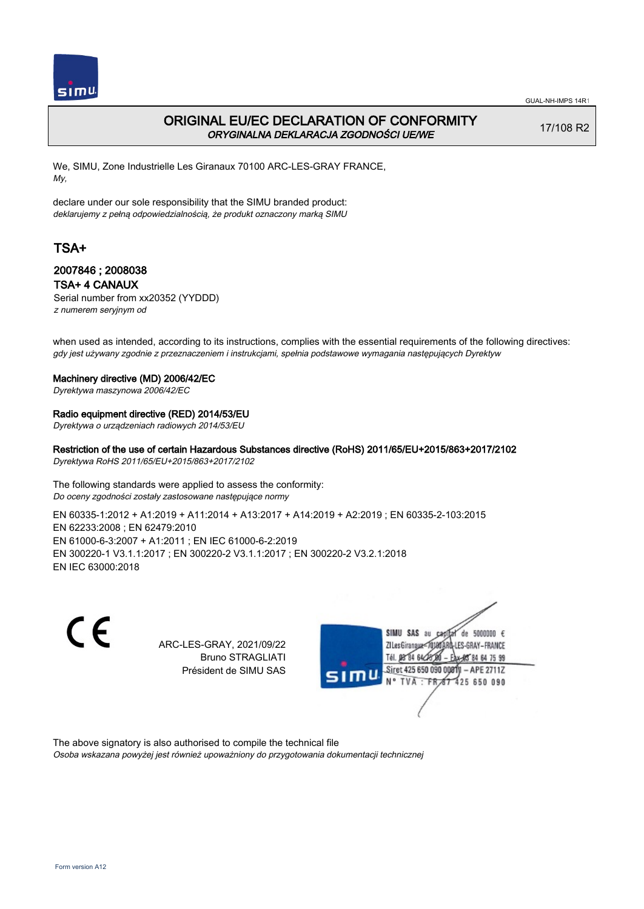

## ORIGINAL EU/EC DECLARATION OF CONFORMITY ORYGINALNA DEKLARACJA ZGODNOŚCI UE/WE

17/108 R2

We, SIMU, Zone Industrielle Les Giranaux 70100 ARC-LES-GRAY FRANCE, My,

declare under our sole responsibility that the SIMU branded product: deklarujemy z pełną odpowiedzialnością, że produkt oznaczony marką SIMU

# TSA+

### 2007846 ; 2008038 TSA+ 4 CANAUX

Serial number from xx20352 (YYDDD) z numerem seryjnym od

when used as intended, according to its instructions, complies with the essential requirements of the following directives: gdy jest używany zgodnie z przeznaczeniem i instrukcjami, spełnia podstawowe wymagania następujących Dyrektyw

#### Machinery directive (MD) 2006/42/EC

Dyrektywa maszynowa 2006/42/EC

#### Radio equipment directive (RED) 2014/53/EU

Dyrektywa o urządzeniach radiowych 2014/53/EU

Restriction of the use of certain Hazardous Substances directive (RoHS) 2011/65/EU+2015/863+2017/2102 Dyrektywa RoHS 2011/65/EU+2015/863+2017/2102

The following standards were applied to assess the conformity: Do oceny zgodności zostały zastosowane następujące normy

EN 60335‑1:2012 + A1:2019 + A11:2014 + A13:2017 + A14:2019 + A2:2019 ; EN 60335‑2‑103:2015 EN 62233:2008 ; EN 62479:2010 EN 61000‑6‑3:2007 + A1:2011 ; EN IEC 61000‑6‑2:2019 EN 300220‑1 V3.1.1:2017 ; EN 300220‑2 V3.1.1:2017 ; EN 300220‑2 V3.2.1:2018 EN IEC 63000:2018

C E

ARC-LES-GRAY, 2021/09/22 Bruno STRAGLIATI Président de SIMU SAS



The above signatory is also authorised to compile the technical file Osoba wskazana powyżej jest również upoważniony do przygotowania dokumentacji technicznej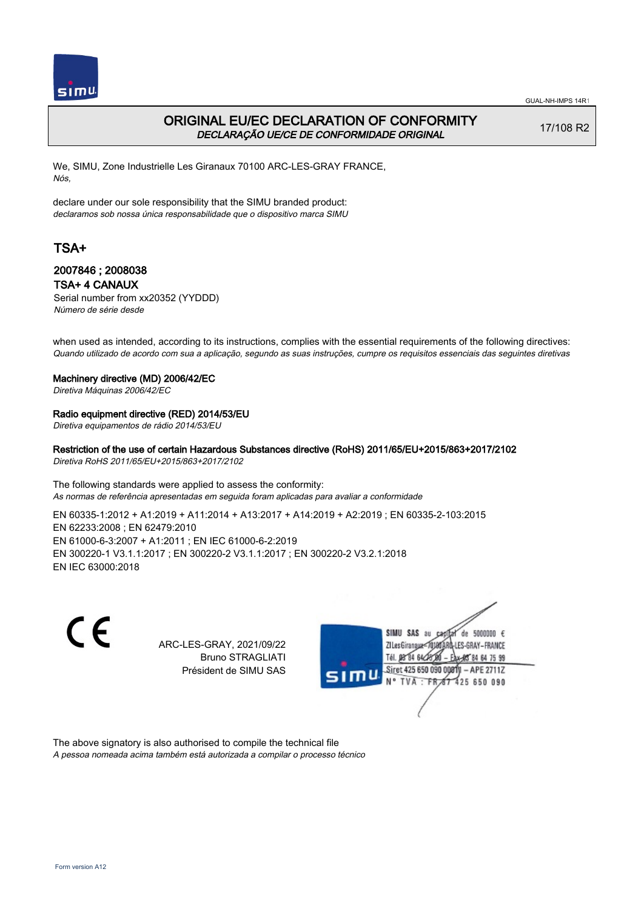

## ORIGINAL EU/EC DECLARATION OF CONFORMITY DECLARAÇÃO UE/CE DE CONFORMIDADE ORIGINAL

17/108 R2

We, SIMU, Zone Industrielle Les Giranaux 70100 ARC-LES-GRAY FRANCE, Nós,

declare under our sole responsibility that the SIMU branded product: declaramos sob nossa única responsabilidade que o dispositivo marca SIMU

# TSA+

### 2007846 ; 2008038 TSA+ 4 CANAUX

Serial number from xx20352 (YYDDD) Número de série desde

when used as intended, according to its instructions, complies with the essential requirements of the following directives: Quando utilizado de acordo com sua a aplicação, segundo as suas instruções, cumpre os requisitos essenciais das seguintes diretivas

#### Machinery directive (MD) 2006/42/EC

Diretiva Máquinas 2006/42/EC

#### Radio equipment directive (RED) 2014/53/EU

Diretiva equipamentos de rádio 2014/53/EU

Restriction of the use of certain Hazardous Substances directive (RoHS) 2011/65/EU+2015/863+2017/2102 Diretiva RoHS 2011/65/EU+2015/863+2017/2102

The following standards were applied to assess the conformity: As normas de referência apresentadas em seguida foram aplicadas para avaliar a conformidade

EN 60335‑1:2012 + A1:2019 + A11:2014 + A13:2017 + A14:2019 + A2:2019 ; EN 60335‑2‑103:2015 EN 62233:2008 ; EN 62479:2010 EN 61000‑6‑3:2007 + A1:2011 ; EN IEC 61000‑6‑2:2019 EN 300220‑1 V3.1.1:2017 ; EN 300220‑2 V3.1.1:2017 ; EN 300220‑2 V3.2.1:2018 EN IEC 63000:2018

CE

ARC-LES-GRAY, 2021/09/22 Bruno STRAGLIATI Président de SIMU SAS



The above signatory is also authorised to compile the technical file A pessoa nomeada acima também está autorizada a compilar o processo técnico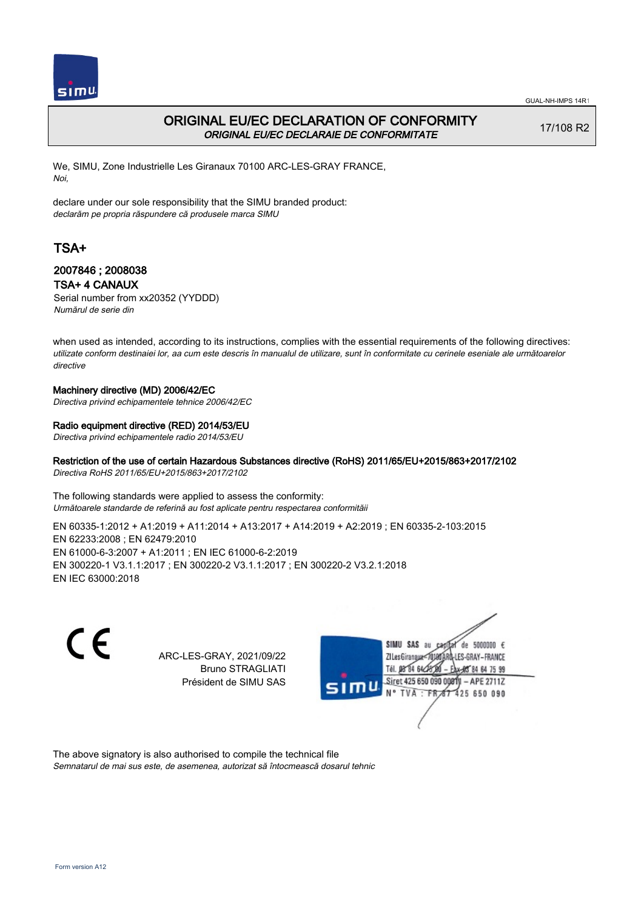

## ORIGINAL EU/EC DECLARATION OF CONFORMITY ORIGINAL EU/EC DECLARAIE DE CONFORMITATE

17/108 R2

We, SIMU, Zone Industrielle Les Giranaux 70100 ARC-LES-GRAY FRANCE, Noi,

declare under our sole responsibility that the SIMU branded product: declarăm pe propria răspundere că produsele marca SIMU

# TSA+

### 2007846 ; 2008038 TSA+ 4 CANAUX

Serial number from xx20352 (YYDDD) Numărul de serie din

when used as intended, according to its instructions, complies with the essential requirements of the following directives: utilizate conform destinaiei lor, aa cum este descris în manualul de utilizare, sunt în conformitate cu cerinele eseniale ale următoarelor directive

#### Machinery directive (MD) 2006/42/EC

Directiva privind echipamentele tehnice 2006/42/EC

### Radio equipment directive (RED) 2014/53/EU

Directiva privind echipamentele radio 2014/53/EU

## Restriction of the use of certain Hazardous Substances directive (RoHS) 2011/65/EU+2015/863+2017/2102

Directiva RoHS 2011/65/EU+2015/863+2017/2102

The following standards were applied to assess the conformity: Următoarele standarde de referină au fost aplicate pentru respectarea conformităii

EN 60335‑1:2012 + A1:2019 + A11:2014 + A13:2017 + A14:2019 + A2:2019 ; EN 60335‑2‑103:2015 EN 62233:2008 ; EN 62479:2010 EN 61000‑6‑3:2007 + A1:2011 ; EN IEC 61000‑6‑2:2019 EN 300220‑1 V3.1.1:2017 ; EN 300220‑2 V3.1.1:2017 ; EN 300220‑2 V3.2.1:2018 EN IEC 63000:2018

 $\epsilon$ 

ARC-LES-GRAY, 2021/09/22 Bruno STRAGLIATI Président de SIMU SAS



The above signatory is also authorised to compile the technical file Semnatarul de mai sus este, de asemenea, autorizat să întocmească dosarul tehnic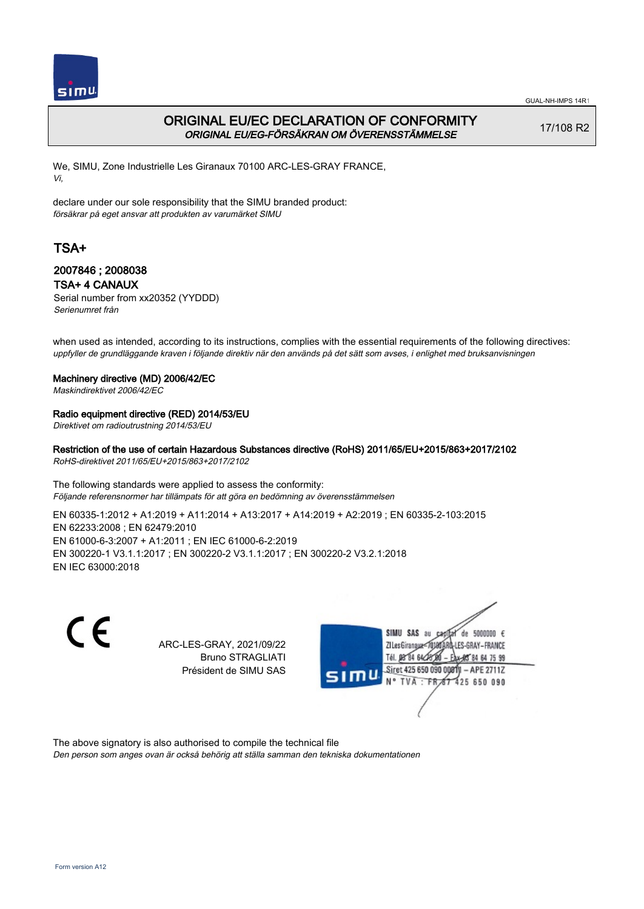

GUAL-NH-IMPS 14R1

# ORIGINAL EU/EC DECLARATION OF CONFORMITY ORIGINAL EU/EG-FÖRSÄKRAN OM ÖVERENSSTÄMMELSE

17/108 R2

We, SIMU, Zone Industrielle Les Giranaux 70100 ARC-LES-GRAY FRANCE, Vi,

declare under our sole responsibility that the SIMU branded product: försäkrar på eget ansvar att produkten av varumärket SIMU

# TSA+

## 2007846 ; 2008038 TSA+ 4 CANAUX

Serial number from xx20352 (YYDDD) Serienumret från

when used as intended, according to its instructions, complies with the essential requirements of the following directives: uppfyller de grundläggande kraven i följande direktiv när den används på det sätt som avses, i enlighet med bruksanvisningen

#### Machinery directive (MD) 2006/42/EC

Maskindirektivet 2006/42/EC

#### Radio equipment directive (RED) 2014/53/EU

Direktivet om radioutrustning 2014/53/EU

Restriction of the use of certain Hazardous Substances directive (RoHS) 2011/65/EU+2015/863+2017/2102 RoHS-direktivet 2011/65/EU+2015/863+2017/2102

The following standards were applied to assess the conformity: Följande referensnormer har tillämpats för att göra en bedömning av överensstämmelsen

EN 60335‑1:2012 + A1:2019 + A11:2014 + A13:2017 + A14:2019 + A2:2019 ; EN 60335‑2‑103:2015 EN 62233:2008 ; EN 62479:2010 EN 61000‑6‑3:2007 + A1:2011 ; EN IEC 61000‑6‑2:2019 EN 300220‑1 V3.1.1:2017 ; EN 300220‑2 V3.1.1:2017 ; EN 300220‑2 V3.2.1:2018 EN IEC 63000:2018

> ARC-LES-GRAY, 2021/09/22 Bruno STRAGLIATI Président de SIMU SAS



The above signatory is also authorised to compile the technical file Den person som anges ovan är också behörig att ställa samman den tekniska dokumentationen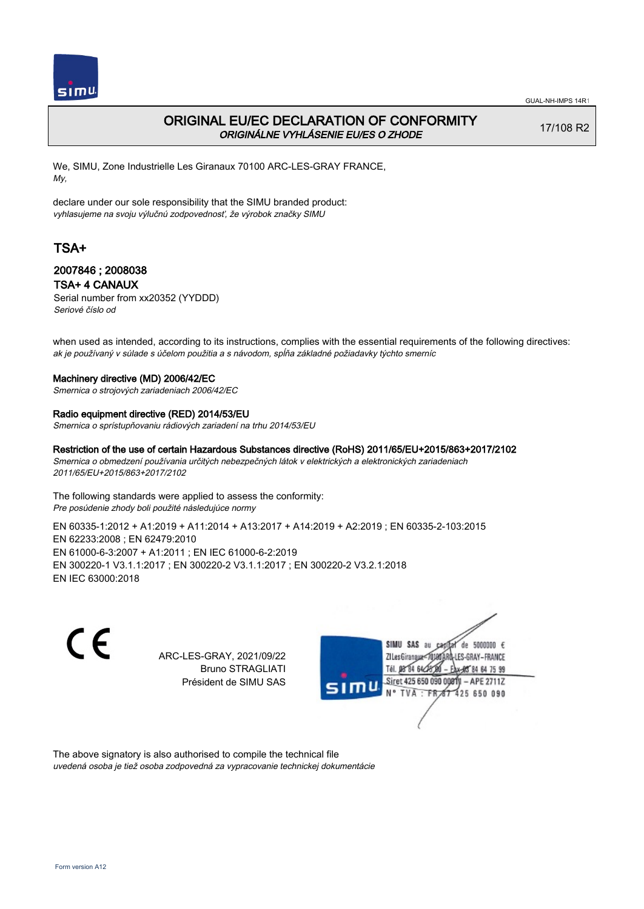

GUAL-NH-IMPS 14R1

# ORIGINAL EU/EC DECLARATION OF CONFORMITY ORIGINÁLNE VYHLÁSENIE EU/ES O ZHODE

17/108 R2

We, SIMU, Zone Industrielle Les Giranaux 70100 ARC-LES-GRAY FRANCE, My,

declare under our sole responsibility that the SIMU branded product: vyhlasujeme na svoju výlučnú zodpovednosť, že výrobok značky SIMU

# TSA+

## 2007846 ; 2008038 TSA+ 4 CANAUX

Serial number from xx20352 (YYDDD) Seriové číslo od

when used as intended, according to its instructions, complies with the essential requirements of the following directives: ak je používaný v súlade s účelom použitia a s návodom, spĺňa základné požiadavky týchto smerníc

#### Machinery directive (MD) 2006/42/EC

Smernica o strojových zariadeniach 2006/42/EC

#### Radio equipment directive (RED) 2014/53/EU

Smernica o sprístupňovaniu rádiových zariadení na trhu 2014/53/EU

Restriction of the use of certain Hazardous Substances directive (RoHS) 2011/65/EU+2015/863+2017/2102 Smernica o obmedzení používania určitých nebezpečných látok v elektrických a elektronických zariadeniach 2011/65/EU+2015/863+2017/2102

The following standards were applied to assess the conformity:

Pre posúdenie zhody boli použité následujúce normy

EN 60335‑1:2012 + A1:2019 + A11:2014 + A13:2017 + A14:2019 + A2:2019 ; EN 60335‑2‑103:2015 EN 62233:2008 ; EN 62479:2010 EN 61000‑6‑3:2007 + A1:2011 ; EN IEC 61000‑6‑2:2019 EN 300220‑1 V3.1.1:2017 ; EN 300220‑2 V3.1.1:2017 ; EN 300220‑2 V3.2.1:2018 EN IEC 63000:2018

 $\epsilon$ 

ARC-LES-GRAY, 2021/09/22 Bruno STRAGLIATI Président de SIMU SAS



The above signatory is also authorised to compile the technical file uvedená osoba je tiež osoba zodpovedná za vypracovanie technickej dokumentácie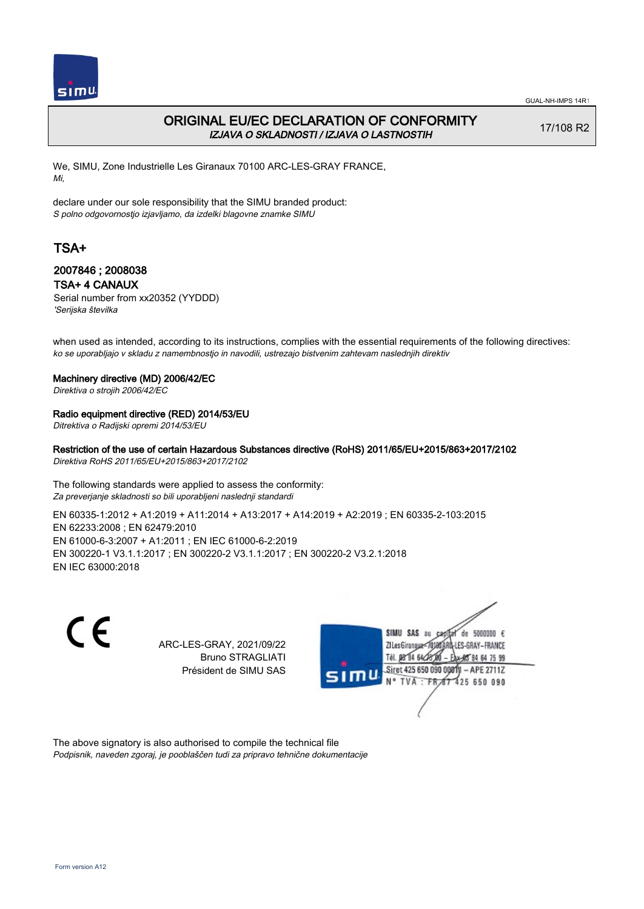

## ORIGINAL EU/EC DECLARATION OF CONFORMITY IZJAVA O SKLADNOSTI / IZJAVA O LASTNOSTIH

17/108 R2

We, SIMU, Zone Industrielle Les Giranaux 70100 ARC-LES-GRAY FRANCE, Mi,

declare under our sole responsibility that the SIMU branded product: S polno odgovornostjo izjavljamo, da izdelki blagovne znamke SIMU

# TSA+

### 2007846 ; 2008038 TSA+ 4 CANAUX

Serial number from xx20352 (YYDDD) 'Serijska številka

when used as intended, according to its instructions, complies with the essential requirements of the following directives: ko se uporabljajo v skladu z namembnostjo in navodili, ustrezajo bistvenim zahtevam naslednjih direktiv

#### Machinery directive (MD) 2006/42/EC

Direktiva o strojih 2006/42/EC

#### Radio equipment directive (RED) 2014/53/EU

Ditrektiva o Radijski opremi 2014/53/EU

#### Restriction of the use of certain Hazardous Substances directive (RoHS) 2011/65/EU+2015/863+2017/2102 Direktiva RoHS 2011/65/EU+2015/863+2017/2102

The following standards were applied to assess the conformity: Za preverjanje skladnosti so bili uporabljeni naslednji standardi

EN 60335‑1:2012 + A1:2019 + A11:2014 + A13:2017 + A14:2019 + A2:2019 ; EN 60335‑2‑103:2015 EN 62233:2008 ; EN 62479:2010 EN 61000‑6‑3:2007 + A1:2011 ; EN IEC 61000‑6‑2:2019 EN 300220‑1 V3.1.1:2017 ; EN 300220‑2 V3.1.1:2017 ; EN 300220‑2 V3.2.1:2018 EN IEC 63000:2018

C E SIMU SAS au ARC-LES-GRAY, 2021/09/22 ZI Les Giranaux<sup>\*</sup> Bruno STRAGLIATI Tél. 08 84 64 24 Président de SIMU SAS **TVA** 

de 5000000 € ES-GRAY-FRANCE 64 75 99 Siret 425 650 090 00811  $-$  APE 2711Z 425 650 090

The above signatory is also authorised to compile the technical file Podpisnik, naveden zgoraj, je pooblaščen tudi za pripravo tehnične dokumentacije